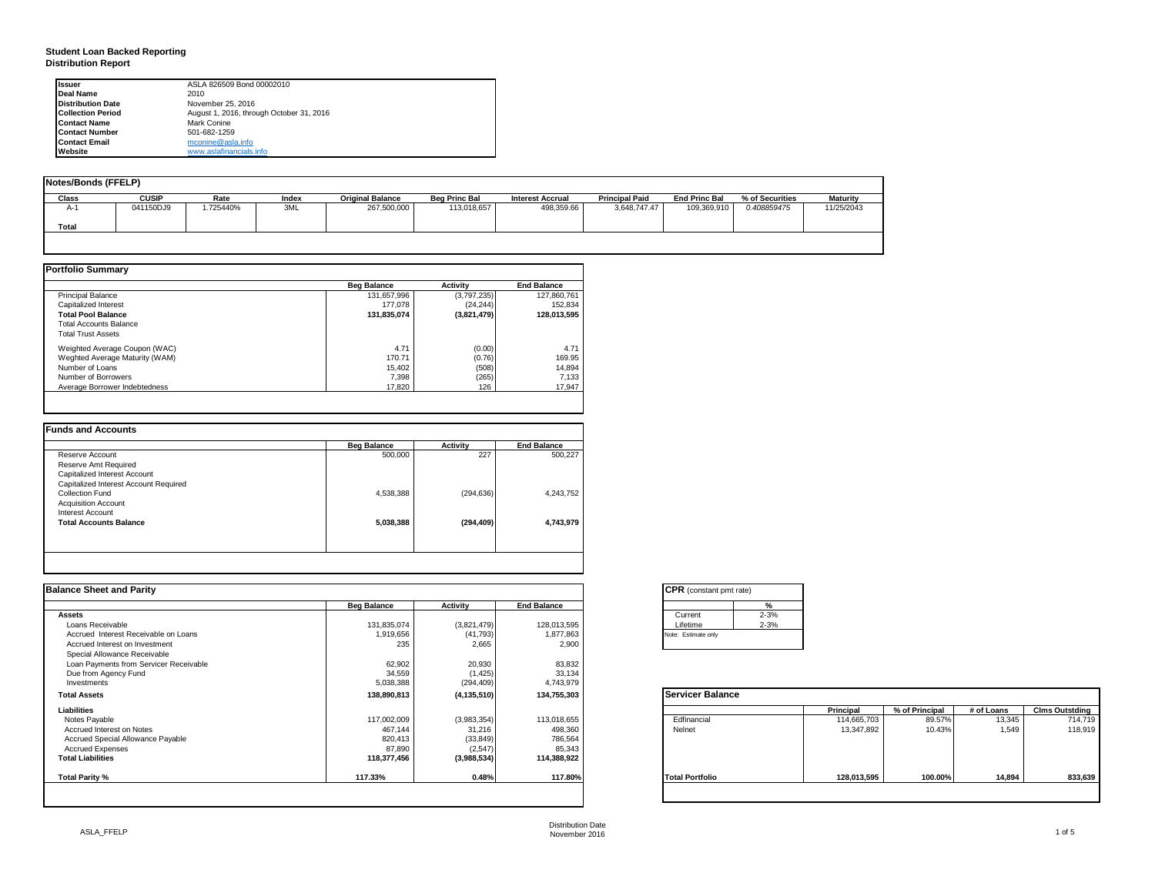#### **Student Loan Backed Reporting Distribution Report**

| Issuer                   | ASLA 826509 Bond 00002010                |
|--------------------------|------------------------------------------|
| Deal Name                | 2010                                     |
| <b>Distribution Date</b> | November 25, 2016                        |
| <b>Collection Period</b> | August 1, 2016, through October 31, 2016 |
| <b>Contact Name</b>      | Mark Conine                              |
| <b>Contact Number</b>    | 501-682-1259                             |
| <b>Contact Email</b>     | mconine@asla.info                        |
| Website                  | www.aslafinancials.info                  |

| Notes/Bonds (FFELP) |              |          |       |                         |                      |                         |                       |                      |                 |                 |
|---------------------|--------------|----------|-------|-------------------------|----------------------|-------------------------|-----------------------|----------------------|-----------------|-----------------|
| Class               | <b>CUSIP</b> | Rate     | Index | <b>Original Balance</b> | <b>Beg Princ Bal</b> | <b>Interest Accrual</b> | <b>Principal Paid</b> | <b>End Princ Bal</b> | % of Securities | <b>Maturity</b> |
| $A-1$               | 041150DJ9    | .725440% | 3ML   | 267,500,000             | 113,018,657          | 498,359.66              | 3,648,747.47          | 109,369,910          | 0.408859475     | 11/25/2043      |
| Total               |              |          |       |                         |                      |                         |                       |                      |                 |                 |

|                                | <b>Beg Balance</b> | <b>Activity</b> | <b>End Balance</b> |
|--------------------------------|--------------------|-----------------|--------------------|
| <b>Principal Balance</b>       | 131,657,996        | (3,797,235)     | 127.860.761        |
| Capitalized Interest           | 177,078            | (24, 244)       | 152.834            |
| <b>Total Pool Balance</b>      | 131,835,074        | (3,821,479)     | 128,013,595        |
| <b>Total Accounts Balance</b>  |                    |                 |                    |
| <b>Total Trust Assets</b>      |                    |                 |                    |
| Weighted Average Coupon (WAC)  | 4.71               | (0.00)          | 4.71               |
| Weghted Average Maturity (WAM) | 170.71             | (0.76)          | 169.95             |
| Number of Loans                | 15.402             | (508)           | 14.894             |
| Number of Borrowers            | 7.398              | (265)           | 7,133              |
| Average Borrower Indebtedness  | 17,820             | 126             | 17.947             |

|                                       | <b>Beg Balance</b> | <b>Activity</b> | <b>End Balance</b> |
|---------------------------------------|--------------------|-----------------|--------------------|
| Reserve Account                       | 500,000            | 227             | 500.227            |
| Reserve Amt Required                  |                    |                 |                    |
| Capitalized Interest Account          |                    |                 |                    |
| Capitalized Interest Account Required |                    |                 |                    |
| Collection Fund                       | 4,538,388          | (294, 636)      | 4,243,752          |
| <b>Acquisition Account</b>            |                    |                 |                    |
| Interest Account                      |                    |                 |                    |
| <b>Total Accounts Balance</b>         | 5,038,388          | (294, 409)      | 4,743,979          |

| <b>Balance Sheet and Parity</b>        |                    |               |                    | <b>CPR</b> (constant pmt rate) |                        |            |                       |
|----------------------------------------|--------------------|---------------|--------------------|--------------------------------|------------------------|------------|-----------------------|
|                                        | <b>Beg Balance</b> | Activity      | <b>End Balance</b> | %                              |                        |            |                       |
| <b>Assets</b>                          |                    |               |                    | $2 - 3%$<br>Current            |                        |            |                       |
| Loans Receivable                       | 131,835,074        | (3,821,479)   | 128,013,595        | $2 - 3%$<br>Lifetime           |                        |            |                       |
| Accrued Interest Receivable on Loans   | 1,919,656          | (41, 793)     | 1,877,863          | Note: Estimate only            |                        |            |                       |
| Accrued Interest on Investment         | 235                | 2,665         | 2,900              |                                |                        |            |                       |
| Special Allowance Receivable           |                    |               |                    |                                |                        |            |                       |
| Loan Payments from Servicer Receivable | 62,902             | 20,930        | 83,832             |                                |                        |            |                       |
| Due from Agency Fund                   | 34,559             | (1, 425)      | 33,134             |                                |                        |            |                       |
| Investments                            | 5,038,388          | (294, 409)    | 4,743,979          |                                |                        |            |                       |
| <b>Total Assets</b>                    | 138,890,813        | (4, 135, 510) | 134,755,303        | <b>Servicer Balance</b>        |                        |            |                       |
| Liabilities                            |                    |               |                    | Principal                      | % of Principal         | # of Loans | <b>Clms Outstding</b> |
| Notes Payable                          | 117,002,009        | (3,983,354)   | 113,018,655        | Edfinancial                    | 89.57%<br>114,665,703  | 13,345     | 714,719               |
| Accrued Interest on Notes              | 467,144            | 31,216        | 498,360            | Nelnet                         | 13,347,892<br>10.43%   | 1.549      | 118,919               |
| Accrued Special Allowance Payable      | 820,413            | (33, 849)     | 786,564            |                                |                        |            |                       |
| <b>Accrued Expenses</b>                | 87,890             | (2, 547)      | 85,343             |                                |                        |            |                       |
| <b>Total Liabilities</b>               | 118,377,456        | (3,988,534)   | 114,388,922        |                                |                        |            |                       |
| Total Parity %                         | 117.33%            | 0.48%         | 117.80%            | <b>Total Portfolio</b>         | 100.00%<br>128,013,595 | 14,894     | 833,639               |
|                                        |                    |               |                    |                                |                        |            |                       |

|          | ℀        |
|----------|----------|
| Current  | $2 - 3%$ |
| Lifetime | $2 - 3%$ |

|                        | Principal   | % of Principal | # of Loans | <b>Clms Outstding</b> |
|------------------------|-------------|----------------|------------|-----------------------|
| Edfinancial            | 114,665,703 | 89.57%         | 13,345     | 714,719               |
| Nelnet                 | 13,347,892  | 10.43%         | 1,549      | 118,919               |
| <b>Total Portfolio</b> | 128,013,595 | 100.00%        | 14.894     | 833.639               |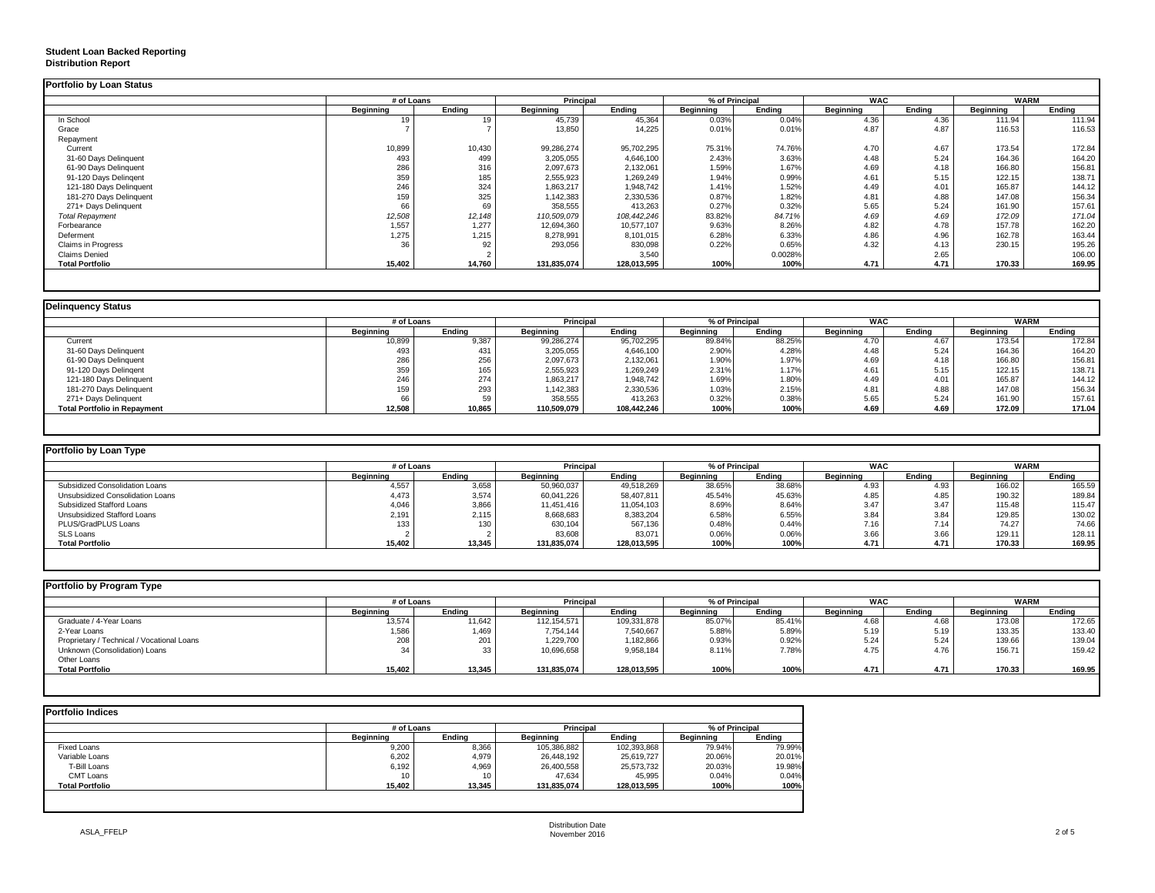### **Student Loan Backed Reporting Distribution Report**

|                           | # of Loans       |        | <b>Principal</b> |             |                  | % of Principal | <b>WAC</b>       |        | <b>WARM</b>      |        |
|---------------------------|------------------|--------|------------------|-------------|------------------|----------------|------------------|--------|------------------|--------|
|                           | <b>Beginning</b> | Endina | <b>Beginning</b> | Endina      | <b>Beginning</b> | Ending         | <b>Beginning</b> | Endina | <b>Beginning</b> | Endina |
| In School                 |                  |        | 45,739           | 45,364      | 0.03%            | 0.04%          | 4.36             | 4.36   | 111.94           | 111.94 |
| Grace                     |                  |        | 13,850           | 14.225      | 0.01%            | 0.01%          | 4.87             | 4.87   | 116.53           | 116.53 |
| Repayment                 |                  |        |                  |             |                  |                |                  |        |                  |        |
| Current                   | 10,899           | 10,430 | 99,286,274       | 95,702,295  | 75.31%           | 74.76%         | 4.70             | 4.67   | 173.54           | 172.84 |
| 31-60 Days Delinquent     | 493              | 499    | 3,205,055        | 4,646,100   | 2.43%            | 3.63%          | 4.48             | 5.24   | 164.36           | 164.20 |
| 61-90 Days Delinquent     | 286              | 316    | 2,097,673        | 2,132,061   | 1.59%            | 1.67%          | 4.69             | 4.18   | 166.80           | 156.81 |
| 91-120 Days Delingent     | 359              | 185    | 2,555,923        | 1,269,249   | 1.94%            | 0.99%          | 4.61             | 5.15   | 122.15           | 138.71 |
| 121-180 Days Delinquent   | 246              | 324    | 1,863,217        | 1,948,742   | 1.41%            | 1.52%          | 4.49             | 4.01   | 165.87           | 144.12 |
| 181-270 Days Delinquent   | 159              | 325    | 1,142,383        | 2,330,536   | 0.87%            | 1.82%          | 4.81             | 4.88   | 147.08           | 156.34 |
| 271+ Days Delinquent      | 66               | 69     | 358,555          | 413.263     | 0.27%            | 0.32%          | 5.65             | 5.24   | 161.90           | 157.61 |
| <b>Total Repayment</b>    | 12,508           | 12,148 | 110,509,079      | 108,442,246 | 83.82%           | 84.71%         | 4.69             | 4.69   | 172.09           | 171.04 |
| Forbearance               | 1,557            | 1,277  | 12,694,360       | 10.577.107  | 9.63%            | 8.26%          | 4.82             | 4.78   | 157.78           | 162.20 |
| Deferment                 | 1,275            | 1,215  | 8,278,991        | 8,101,015   | 6.28%            | 6.33%          | 4.86             | 4.96   | 162.78           | 163.44 |
| <b>Claims in Progress</b> | 36               | 92     | 293,056          | 830,098     | 0.22%            | 0.65%          | 4.32             | 4.13   | 230.15           | 195.26 |
| <b>Claims Denied</b>      |                  |        |                  | 3,540       |                  | 0.0028%        |                  | 2.65   |                  | 106.00 |
| <b>Total Portfolio</b>    | 15,402           | 14,760 | 131,835,074      | 128,013,595 | 100%             | 100%           | 4.71             | 4.71   | 170.33           | 169.95 |

|                                     |           | # of Loans |             | <b>Principal</b> | % of Principal   |        | <b>WAC</b> |        | <b>WARM</b> |        |
|-------------------------------------|-----------|------------|-------------|------------------|------------------|--------|------------|--------|-------------|--------|
|                                     | Beginning | Endina     | Beginning   | Endina           | <b>Beainning</b> | Endina | Beginning  | Endina | Beainnina   | Endina |
| Current                             | 10,899    | 9,387      | 99,286,274  | 95,702,295       | 89.84%           | 88.25% | 4.70       | 4.67   | 173.54      | 172.84 |
| 31-60 Days Delinquent               | 493       | 431        | 3,205,055   | 4,646,100        | 2.90%            | 4.28%  | 4.48       | 5.24   | 164.36      | 164.20 |
| 61-90 Days Delinquent               | 286       | 256        | 2,097,673   | 2,132,061        | 1.90%            | 1.97%  | 4.69       | 4.18   | 166.80      | 156.81 |
| 91-120 Days Delingent               | 359       | 165        | 2,555,923   | 1,269,249        | 2.31%            | 1.17%  | 4.61       | 5.15   | 122.15      | 138.71 |
| 121-180 Days Delinquent             | 246       | 274        | 1,863,217   | 1,948,742        | 1.69%            | 1.80%  | 4.49       | 4.01   | 165.87      | 144.12 |
| 181-270 Days Delinquent             | 159       | 293        | 1,142,383   | 2,330,536        | 1.03%            | 2.15%  | 4.81       | 4.88   | 147.08      | 156.34 |
| 271+ Days Delinquent                |           |            | 358,555     | 413.263          | 0.32%            | 0.38%  | 5.65       | 5.24   | 161.90      | 157.61 |
| <b>Total Portfolio in Repayment</b> | 12,508    | 10,865     | 110,509,079 | 108,442,246      | 100%             | 100%   | 4.69       | 4.69   | 172.09      | 171.04 |

| Portfolio by Loan Type           |            |        |                  |             |           |                |            |        |           |             |
|----------------------------------|------------|--------|------------------|-------------|-----------|----------------|------------|--------|-----------|-------------|
|                                  | # of Loans |        | Principal        |             |           | % of Principal | <b>WAC</b> |        |           | <b>WARM</b> |
|                                  | Beainnina  | Endina | <b>Beainning</b> | Endina      | Beainnina | Endina         | Beainnina  | Endina | Beainnina | Endina      |
| Subsidized Consolidation Loans   | 4,557      | 3,658  | 50,960,037       | 49,518,269  | 38.65%    | 38.68%         | 4.93       | 4.93   | 166.02    | 165.59      |
| Unsubsidized Consolidation Loans | 4.473      | 3,574  | 60.041.226       | 58,407,811  | 45.54%    | 45.63%         | 4.85       | 4.85   | 190.32    | 189.84      |
| Subsidized Stafford Loans        | 4.046      | 3,866  | 11,451,416       | 11,054,103  | 8.69%     | 8.64%          | 3.47       | 3.47   | 115.48    | 115.47      |
| Unsubsidized Stafford Loans      | 2,191      | 2,115  | 8,668,683        | 8,383,204   | 6.58%     | 6.55%          | 3.84       | 3.84   | 129.85    | 130.02      |
| PLUS/GradPLUS Loans              | 133        | 130    | 630,104          | 567,136     | 0.48%     | 0.44%          | 7.16       | 7.14   | 74.27     | 74.66       |
| SLS Loans                        |            |        | 83,608           | 83.071      | 0.06%     | 0.06%          | 3.66       | 3.66   | 129.11    | 128.11      |
| <b>Total Portfolio</b>           | 15,402     | 13,345 | 131.835.074      | 128.013.595 | 100%      | 100%           | 4.71       | 4.71   | 170.33    | 169.95      |

| <b>Portfolio by Program Type</b>           |                   |        |                  |             |           |                |            |        |           |             |
|--------------------------------------------|-------------------|--------|------------------|-------------|-----------|----------------|------------|--------|-----------|-------------|
|                                            | # of Loans        |        | <b>Principal</b> |             |           | % of Principal | <b>WAC</b> |        |           | <b>WARM</b> |
|                                            | <b>Beainning</b>  | Endina | <b>Beginning</b> | Endina      | Beainnina | Endina         | Beainnina  | Endina | Beainnina | Endina      |
| Graduate / 4-Year Loans                    | 13,574            | 11,642 | 112,154,571      | 109,331,878 | 85.07%    | 85.41%         | 4.68       | 4.68   | 173.08    | 172.65      |
| 2-Year Loans                               | 1,586             | 1,469  | 7,754,144        | 7,540,667   | 5.88%     | 5.89%          | 5.19       | 5.19   | 133.35    | 133.40      |
| Proprietary / Technical / Vocational Loans | 208               | 201    | 1,229,700        | 1,182,866   | 0.93%     | 0.92%          | 5.24       | 5.24   | 139.66    | 139.04      |
| Unknown (Consolidation) Loans              | $\mathbf{\Omega}$ | 33     | 10,696,658       | 9,958,184   | 8.11%     | 7.78%          | 4.75       | 4.76   | 156.71    | 159.42      |
| Other Loans                                |                   |        |                  |             |           |                |            |        |           |             |
| <b>Total Portfolio</b>                     | 15,402            | 13,345 | 131,835,074      | 128,013,595 | 100%      | 100%           | 4.71       | 4.71   | 170.33    | 169.95      |
|                                            |                   |        |                  |             |           |                |            |        |           |             |

| <b>Portfolio Indices</b> |            |        |                  |             |                |        |  |  |  |  |  |  |
|--------------------------|------------|--------|------------------|-------------|----------------|--------|--|--|--|--|--|--|
|                          | # of Loans |        | Principal        |             | % of Principal |        |  |  |  |  |  |  |
|                          | Beainnina  | Endina | <b>Beainning</b> | Endina      | Beginning      | Endina |  |  |  |  |  |  |
| <b>Fixed Loans</b>       | 9,200      | 8,366  | 105,386,882      | 102,393,868 | 79.94%         | 79.99% |  |  |  |  |  |  |
| Variable Loans           | 6,202      | 4,979  | 26,448,192       | 25,619,727  | 20.06%         | 20.01% |  |  |  |  |  |  |
| T-Bill Loans             | 6,192      | 4.969  | 26,400,558       | 25,573,732  | 20.03%         | 19.98% |  |  |  |  |  |  |
| CMT Loans                | 10         | 10     | 47.634           | 45.995      | 0.04%          | 0.04%  |  |  |  |  |  |  |
| <b>Total Portfolio</b>   | 15.402     | 13.345 | 131,835,074      | 128,013,595 | 100%           | 100%   |  |  |  |  |  |  |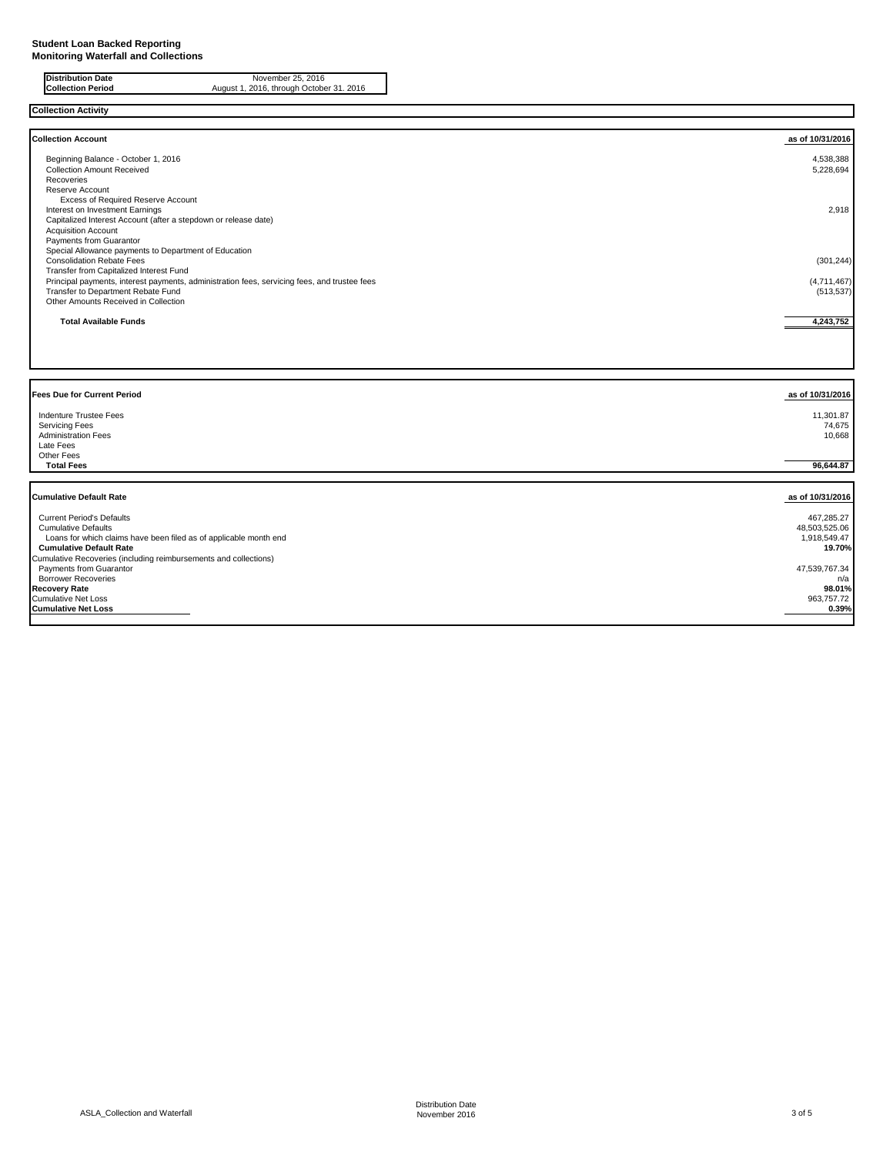| <b>Distribution Date</b> | November 25, 2016                        |
|--------------------------|------------------------------------------|
| <b>Collection Period</b> | August 1, 2016, through October 31. 2016 |

| <b>Collection Account</b><br>as of 10/31/2016<br>Beginning Balance - October 1, 2016<br>4,538,388<br><b>Collection Amount Received</b><br>5,228,694<br>Recoveries<br>Reserve Account<br>Excess of Required Reserve Account<br>2,918<br>Interest on Investment Earnings<br>Capitalized Interest Account (after a stepdown or release date)<br><b>Acquisition Account</b><br>Payments from Guarantor<br>Special Allowance payments to Department of Education<br><b>Consolidation Rebate Fees</b><br>(301, 244)<br>Transfer from Capitalized Interest Fund<br>Principal payments, interest payments, administration fees, servicing fees, and trustee fees<br>(4,711,467)<br>Transfer to Department Rebate Fund<br>(513, 537)<br>Other Amounts Received in Collection<br>4,243,752<br><b>Total Available Funds</b><br>as of 10/31/2016<br>Indenture Trustee Fees<br>11,301.87<br><b>Servicing Fees</b><br>74,675<br><b>Administration Fees</b><br>10,668<br>Late Fees<br>Other Fees<br><b>Total Fees</b><br>96,644.87<br><b>Cumulative Default Rate</b><br>as of 10/31/2016<br><b>Current Period's Defaults</b><br>467,285.27<br><b>Cumulative Defaults</b><br>48,503,525.06<br>Loans for which claims have been filed as of applicable month end<br>1,918,549.47<br><b>Cumulative Default Rate</b><br>19.70%<br>Cumulative Recoveries (including reimbursements and collections)<br>Payments from Guarantor<br>47,539,767.34<br><b>Borrower Recoveries</b><br>n/a | <b>Collection Activity</b>         |        |
|------------------------------------------------------------------------------------------------------------------------------------------------------------------------------------------------------------------------------------------------------------------------------------------------------------------------------------------------------------------------------------------------------------------------------------------------------------------------------------------------------------------------------------------------------------------------------------------------------------------------------------------------------------------------------------------------------------------------------------------------------------------------------------------------------------------------------------------------------------------------------------------------------------------------------------------------------------------------------------------------------------------------------------------------------------------------------------------------------------------------------------------------------------------------------------------------------------------------------------------------------------------------------------------------------------------------------------------------------------------------------------------------------------------------------------------------------------------|------------------------------------|--------|
|                                                                                                                                                                                                                                                                                                                                                                                                                                                                                                                                                                                                                                                                                                                                                                                                                                                                                                                                                                                                                                                                                                                                                                                                                                                                                                                                                                                                                                                                  |                                    |        |
|                                                                                                                                                                                                                                                                                                                                                                                                                                                                                                                                                                                                                                                                                                                                                                                                                                                                                                                                                                                                                                                                                                                                                                                                                                                                                                                                                                                                                                                                  |                                    |        |
|                                                                                                                                                                                                                                                                                                                                                                                                                                                                                                                                                                                                                                                                                                                                                                                                                                                                                                                                                                                                                                                                                                                                                                                                                                                                                                                                                                                                                                                                  |                                    |        |
|                                                                                                                                                                                                                                                                                                                                                                                                                                                                                                                                                                                                                                                                                                                                                                                                                                                                                                                                                                                                                                                                                                                                                                                                                                                                                                                                                                                                                                                                  |                                    |        |
|                                                                                                                                                                                                                                                                                                                                                                                                                                                                                                                                                                                                                                                                                                                                                                                                                                                                                                                                                                                                                                                                                                                                                                                                                                                                                                                                                                                                                                                                  |                                    |        |
|                                                                                                                                                                                                                                                                                                                                                                                                                                                                                                                                                                                                                                                                                                                                                                                                                                                                                                                                                                                                                                                                                                                                                                                                                                                                                                                                                                                                                                                                  |                                    |        |
|                                                                                                                                                                                                                                                                                                                                                                                                                                                                                                                                                                                                                                                                                                                                                                                                                                                                                                                                                                                                                                                                                                                                                                                                                                                                                                                                                                                                                                                                  |                                    |        |
|                                                                                                                                                                                                                                                                                                                                                                                                                                                                                                                                                                                                                                                                                                                                                                                                                                                                                                                                                                                                                                                                                                                                                                                                                                                                                                                                                                                                                                                                  |                                    |        |
|                                                                                                                                                                                                                                                                                                                                                                                                                                                                                                                                                                                                                                                                                                                                                                                                                                                                                                                                                                                                                                                                                                                                                                                                                                                                                                                                                                                                                                                                  |                                    |        |
|                                                                                                                                                                                                                                                                                                                                                                                                                                                                                                                                                                                                                                                                                                                                                                                                                                                                                                                                                                                                                                                                                                                                                                                                                                                                                                                                                                                                                                                                  |                                    |        |
|                                                                                                                                                                                                                                                                                                                                                                                                                                                                                                                                                                                                                                                                                                                                                                                                                                                                                                                                                                                                                                                                                                                                                                                                                                                                                                                                                                                                                                                                  |                                    |        |
|                                                                                                                                                                                                                                                                                                                                                                                                                                                                                                                                                                                                                                                                                                                                                                                                                                                                                                                                                                                                                                                                                                                                                                                                                                                                                                                                                                                                                                                                  |                                    |        |
|                                                                                                                                                                                                                                                                                                                                                                                                                                                                                                                                                                                                                                                                                                                                                                                                                                                                                                                                                                                                                                                                                                                                                                                                                                                                                                                                                                                                                                                                  |                                    |        |
|                                                                                                                                                                                                                                                                                                                                                                                                                                                                                                                                                                                                                                                                                                                                                                                                                                                                                                                                                                                                                                                                                                                                                                                                                                                                                                                                                                                                                                                                  |                                    |        |
|                                                                                                                                                                                                                                                                                                                                                                                                                                                                                                                                                                                                                                                                                                                                                                                                                                                                                                                                                                                                                                                                                                                                                                                                                                                                                                                                                                                                                                                                  |                                    |        |
|                                                                                                                                                                                                                                                                                                                                                                                                                                                                                                                                                                                                                                                                                                                                                                                                                                                                                                                                                                                                                                                                                                                                                                                                                                                                                                                                                                                                                                                                  |                                    |        |
|                                                                                                                                                                                                                                                                                                                                                                                                                                                                                                                                                                                                                                                                                                                                                                                                                                                                                                                                                                                                                                                                                                                                                                                                                                                                                                                                                                                                                                                                  |                                    |        |
|                                                                                                                                                                                                                                                                                                                                                                                                                                                                                                                                                                                                                                                                                                                                                                                                                                                                                                                                                                                                                                                                                                                                                                                                                                                                                                                                                                                                                                                                  |                                    |        |
|                                                                                                                                                                                                                                                                                                                                                                                                                                                                                                                                                                                                                                                                                                                                                                                                                                                                                                                                                                                                                                                                                                                                                                                                                                                                                                                                                                                                                                                                  |                                    |        |
|                                                                                                                                                                                                                                                                                                                                                                                                                                                                                                                                                                                                                                                                                                                                                                                                                                                                                                                                                                                                                                                                                                                                                                                                                                                                                                                                                                                                                                                                  |                                    |        |
|                                                                                                                                                                                                                                                                                                                                                                                                                                                                                                                                                                                                                                                                                                                                                                                                                                                                                                                                                                                                                                                                                                                                                                                                                                                                                                                                                                                                                                                                  |                                    |        |
|                                                                                                                                                                                                                                                                                                                                                                                                                                                                                                                                                                                                                                                                                                                                                                                                                                                                                                                                                                                                                                                                                                                                                                                                                                                                                                                                                                                                                                                                  |                                    |        |
|                                                                                                                                                                                                                                                                                                                                                                                                                                                                                                                                                                                                                                                                                                                                                                                                                                                                                                                                                                                                                                                                                                                                                                                                                                                                                                                                                                                                                                                                  |                                    |        |
|                                                                                                                                                                                                                                                                                                                                                                                                                                                                                                                                                                                                                                                                                                                                                                                                                                                                                                                                                                                                                                                                                                                                                                                                                                                                                                                                                                                                                                                                  | <b>Fees Due for Current Period</b> |        |
|                                                                                                                                                                                                                                                                                                                                                                                                                                                                                                                                                                                                                                                                                                                                                                                                                                                                                                                                                                                                                                                                                                                                                                                                                                                                                                                                                                                                                                                                  |                                    |        |
|                                                                                                                                                                                                                                                                                                                                                                                                                                                                                                                                                                                                                                                                                                                                                                                                                                                                                                                                                                                                                                                                                                                                                                                                                                                                                                                                                                                                                                                                  |                                    |        |
|                                                                                                                                                                                                                                                                                                                                                                                                                                                                                                                                                                                                                                                                                                                                                                                                                                                                                                                                                                                                                                                                                                                                                                                                                                                                                                                                                                                                                                                                  |                                    |        |
|                                                                                                                                                                                                                                                                                                                                                                                                                                                                                                                                                                                                                                                                                                                                                                                                                                                                                                                                                                                                                                                                                                                                                                                                                                                                                                                                                                                                                                                                  |                                    |        |
|                                                                                                                                                                                                                                                                                                                                                                                                                                                                                                                                                                                                                                                                                                                                                                                                                                                                                                                                                                                                                                                                                                                                                                                                                                                                                                                                                                                                                                                                  |                                    |        |
|                                                                                                                                                                                                                                                                                                                                                                                                                                                                                                                                                                                                                                                                                                                                                                                                                                                                                                                                                                                                                                                                                                                                                                                                                                                                                                                                                                                                                                                                  |                                    |        |
|                                                                                                                                                                                                                                                                                                                                                                                                                                                                                                                                                                                                                                                                                                                                                                                                                                                                                                                                                                                                                                                                                                                                                                                                                                                                                                                                                                                                                                                                  |                                    |        |
|                                                                                                                                                                                                                                                                                                                                                                                                                                                                                                                                                                                                                                                                                                                                                                                                                                                                                                                                                                                                                                                                                                                                                                                                                                                                                                                                                                                                                                                                  |                                    |        |
|                                                                                                                                                                                                                                                                                                                                                                                                                                                                                                                                                                                                                                                                                                                                                                                                                                                                                                                                                                                                                                                                                                                                                                                                                                                                                                                                                                                                                                                                  |                                    |        |
|                                                                                                                                                                                                                                                                                                                                                                                                                                                                                                                                                                                                                                                                                                                                                                                                                                                                                                                                                                                                                                                                                                                                                                                                                                                                                                                                                                                                                                                                  |                                    |        |
|                                                                                                                                                                                                                                                                                                                                                                                                                                                                                                                                                                                                                                                                                                                                                                                                                                                                                                                                                                                                                                                                                                                                                                                                                                                                                                                                                                                                                                                                  |                                    |        |
|                                                                                                                                                                                                                                                                                                                                                                                                                                                                                                                                                                                                                                                                                                                                                                                                                                                                                                                                                                                                                                                                                                                                                                                                                                                                                                                                                                                                                                                                  |                                    |        |
|                                                                                                                                                                                                                                                                                                                                                                                                                                                                                                                                                                                                                                                                                                                                                                                                                                                                                                                                                                                                                                                                                                                                                                                                                                                                                                                                                                                                                                                                  |                                    |        |
|                                                                                                                                                                                                                                                                                                                                                                                                                                                                                                                                                                                                                                                                                                                                                                                                                                                                                                                                                                                                                                                                                                                                                                                                                                                                                                                                                                                                                                                                  |                                    |        |
|                                                                                                                                                                                                                                                                                                                                                                                                                                                                                                                                                                                                                                                                                                                                                                                                                                                                                                                                                                                                                                                                                                                                                                                                                                                                                                                                                                                                                                                                  |                                    |        |
|                                                                                                                                                                                                                                                                                                                                                                                                                                                                                                                                                                                                                                                                                                                                                                                                                                                                                                                                                                                                                                                                                                                                                                                                                                                                                                                                                                                                                                                                  |                                    |        |
|                                                                                                                                                                                                                                                                                                                                                                                                                                                                                                                                                                                                                                                                                                                                                                                                                                                                                                                                                                                                                                                                                                                                                                                                                                                                                                                                                                                                                                                                  | <b>Recovery Rate</b>               | 98.01% |
| 963,757.72                                                                                                                                                                                                                                                                                                                                                                                                                                                                                                                                                                                                                                                                                                                                                                                                                                                                                                                                                                                                                                                                                                                                                                                                                                                                                                                                                                                                                                                       | <b>Cumulative Net Loss</b>         |        |
| 0.39%                                                                                                                                                                                                                                                                                                                                                                                                                                                                                                                                                                                                                                                                                                                                                                                                                                                                                                                                                                                                                                                                                                                                                                                                                                                                                                                                                                                                                                                            | <b>Cumulative Net Loss</b>         |        |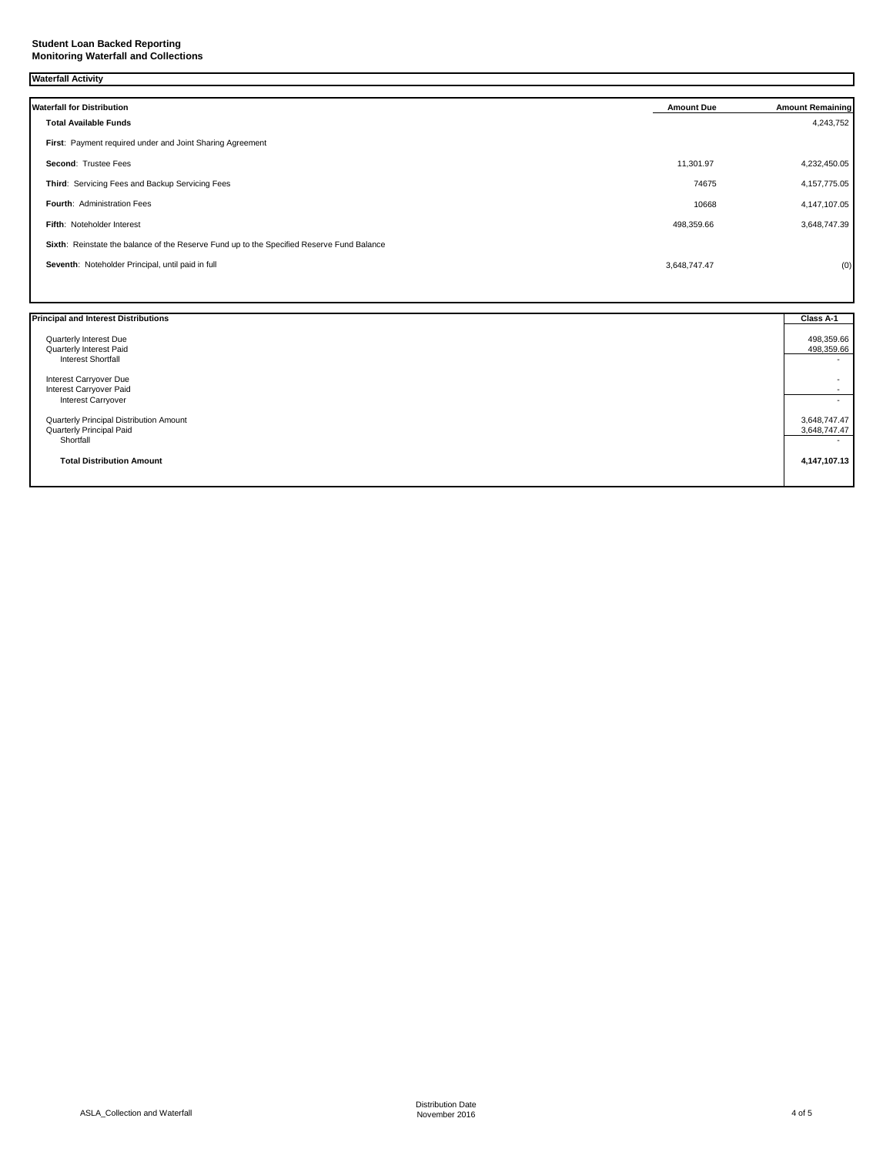### **Waterfall Activity**

| <b>Waterfall for Distribution</b>                                                         | <b>Amount Due</b> | <b>Amount Remaining</b> |
|-------------------------------------------------------------------------------------------|-------------------|-------------------------|
| <b>Total Available Funds</b>                                                              |                   | 4,243,752               |
| First: Payment required under and Joint Sharing Agreement                                 |                   |                         |
| Second: Trustee Fees                                                                      | 11,301.97         | 4,232,450.05            |
| Third: Servicing Fees and Backup Servicing Fees                                           | 74675             | 4, 157, 775.05          |
| Fourth: Administration Fees                                                               | 10668             | 4,147,107.05            |
| Fifth: Noteholder Interest                                                                | 498,359.66        | 3,648,747.39            |
| Sixth: Reinstate the balance of the Reserve Fund up to the Specified Reserve Fund Balance |                   |                         |
| Seventh: Noteholder Principal, until paid in full                                         | 3,648,747.47      | (0)                     |
|                                                                                           |                   |                         |

| <b>Principal and Interest Distributions</b>       | Class A-1                |
|---------------------------------------------------|--------------------------|
| Quarterly Interest Due<br>Quarterly Interest Paid | 498,359.66<br>498,359.66 |
| <b>Interest Shortfall</b>                         | $\sim$                   |
| Interest Carryover Due                            | $\overline{\phantom{a}}$ |
| Interest Carryover Paid                           | $\sim$                   |
| <b>Interest Carryover</b>                         |                          |
| Quarterly Principal Distribution Amount           | 3,648,747.47             |
| Quarterly Principal Paid                          | 3,648,747.47             |
| Shortfall                                         | $\sim$                   |
| <b>Total Distribution Amount</b>                  | 4,147,107.13             |
|                                                   |                          |